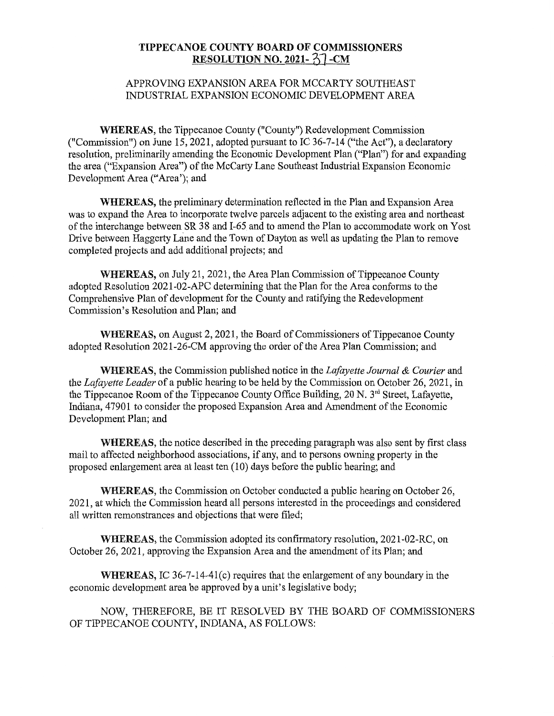## **TIPPECANOE COUNTY BOARD** OF **COMMISSIONERS RESOLUTION NO. 2021-**  $\frac{27}{21}$ -CM

## APPROVING EXPANSION AREA FOR MCCARTY **SOUTHEAST INDUSTRIAL** EXPANSION ECONOMIC DEVELOPMENT AREA

**WHEREAS,** the Tippecanoe County **("County")** Redevelopment Commission **("Commission")** on June 15, 2021, adopted pursuant to IC 36-7-14 **("the** Act"), a declaratory resolution, preliminarily amending the Economic Development Plan ("Plan") for and expanding the area ("Expansion Area") of the McCarty Lane Southeast Industrial Expansion Economic Development Area ("Area'); and

**WHEREAS,** the preliminary determination reflected in the **Plan** and Expansion Area was to expand the Area to incorporate twelve parcels adjacent to the existing area and northeast of the interchange between SR 38 and I-65 and to amend the Plan to accommodate work on Yost Drive between Haggerty Line and the Town of Dayton as well as updating the **Plan** to remove completed projects and add additional projects; and

**WHEREAS,** on July 21, 2021, the Area Plan **Commission** of Tippecanoe County adopted Resolution 2021-02-APC determining that the **Plan** for the Area conforms to the Comprehensive Plan of development for the **County** and ratifying the Redevelopment **Commission's** Resolution and **Plan;** and

**WHEREAS,** on **August** 2, 2021, the Board of Commissioners of Tippecanoe County adopted Resolution 2021-26-CM approving the order of the Area **Plan Commission;** and

**WHEREAS,** the Commission published notice in the *Lafayette Journal & Courier* and the *Lafayette Leader* of a **public** hearing to be **held** by the **Commission** on October 26, 2021, in the Tippecanoe Room of the Tippecanoe County Office Building,  $20 \text{ N}$ .  $3^{\text{rd}}$  Street, Lafayette, **Indiana,** 47901 to consider the proposed Expansion Area and **Amendment** of the Economic Development Plan; and

**WHEREAS,** the notice described in the preceding paragraph was also **sent** by first class **mail** to affected neighborhood associations, if any, and to persons owning property in the proposed enlargement area at least ten (10) days before the public hearing; and

**WHEREAS,** the Commission on October **conducted** a public hearing on October 26, 2021, at which the Commission heard all persons interested in the proceedings and considered all written remonstrances and objections **that** were filed;

**WHEREAS,** the Commission adopted its confirmatory resolution, 2021 -02-RC, on October 26, 2021, approving the **Expansion** Area and the amendment of its Plan; and

**WHEREAS,** IC 36-7-14-41(c) requires that the enlargement of any boundary in the economic development area be approved by a unit's legislative body;

NOW, THEREFORE, BE IT RESOLVED BY THE BOARD OF COMMISSIONERS OF TIPPECANOE COUNTY, INDIANA, AS FOLLOWS: